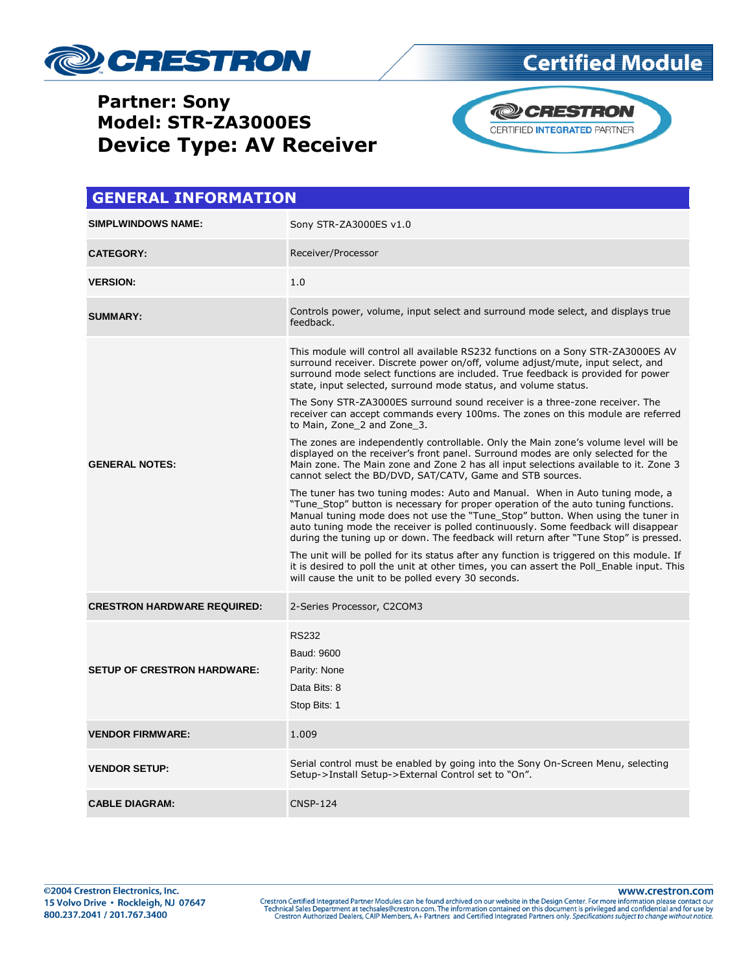

### **Partner: Sony Model: STR-ZA3000ES Device Type: AV Receiver**



| <b>GENERAL INFORMATION</b>         |                                                                                                                                                                                                                                                                                                                                                                                                                                     |  |
|------------------------------------|-------------------------------------------------------------------------------------------------------------------------------------------------------------------------------------------------------------------------------------------------------------------------------------------------------------------------------------------------------------------------------------------------------------------------------------|--|
| <b>SIMPLWINDOWS NAME:</b>          | Sony STR-ZA3000ES v1.0                                                                                                                                                                                                                                                                                                                                                                                                              |  |
| <b>CATEGORY:</b>                   | Receiver/Processor                                                                                                                                                                                                                                                                                                                                                                                                                  |  |
| <b>VERSION:</b>                    | 1.0                                                                                                                                                                                                                                                                                                                                                                                                                                 |  |
| <b>SUMMARY:</b>                    | Controls power, volume, input select and surround mode select, and displays true<br>feedback.                                                                                                                                                                                                                                                                                                                                       |  |
| <b>GENERAL NOTES:</b>              | This module will control all available RS232 functions on a Sony STR-ZA3000ES AV<br>surround receiver. Discrete power on/off, volume adjust/mute, input select, and<br>surround mode select functions are included. True feedback is provided for power<br>state, input selected, surround mode status, and volume status.                                                                                                          |  |
|                                    | The Sony STR-ZA3000ES surround sound receiver is a three-zone receiver. The<br>receiver can accept commands every 100ms. The zones on this module are referred<br>to Main, Zone 2 and Zone 3.                                                                                                                                                                                                                                       |  |
|                                    | The zones are independently controllable. Only the Main zone's volume level will be<br>displayed on the receiver's front panel. Surround modes are only selected for the<br>Main zone. The Main zone and Zone 2 has all input selections available to it. Zone 3<br>cannot select the BD/DVD, SAT/CATV, Game and STB sources.                                                                                                       |  |
|                                    | The tuner has two tuning modes: Auto and Manual. When in Auto tuning mode, a<br>"Tune Stop" button is necessary for proper operation of the auto tuning functions.<br>Manual tuning mode does not use the "Tune Stop" button. When using the tuner in<br>auto tuning mode the receiver is polled continuously. Some feedback will disappear<br>during the tuning up or down. The feedback will return after "Tune Stop" is pressed. |  |
|                                    | The unit will be polled for its status after any function is triggered on this module. If<br>it is desired to poll the unit at other times, you can assert the Poll Enable input. This<br>will cause the unit to be polled every 30 seconds.                                                                                                                                                                                        |  |
| <b>CRESTRON HARDWARE REQUIRED:</b> | 2-Series Processor, C2COM3                                                                                                                                                                                                                                                                                                                                                                                                          |  |
| <b>SETUP OF CRESTRON HARDWARE:</b> | <b>RS232</b><br>Baud: 9600<br>Parity: None<br>Data Bits: 8<br>Stop Bits: 1                                                                                                                                                                                                                                                                                                                                                          |  |
| <b>VENDOR FIRMWARE:</b>            | 1.009                                                                                                                                                                                                                                                                                                                                                                                                                               |  |
| <b>VENDOR SETUP:</b>               | Serial control must be enabled by going into the Sony On-Screen Menu, selecting<br>Setup->Install Setup->External Control set to "On".                                                                                                                                                                                                                                                                                              |  |
| <b>CABLE DIAGRAM:</b>              | <b>CNSP-124</b>                                                                                                                                                                                                                                                                                                                                                                                                                     |  |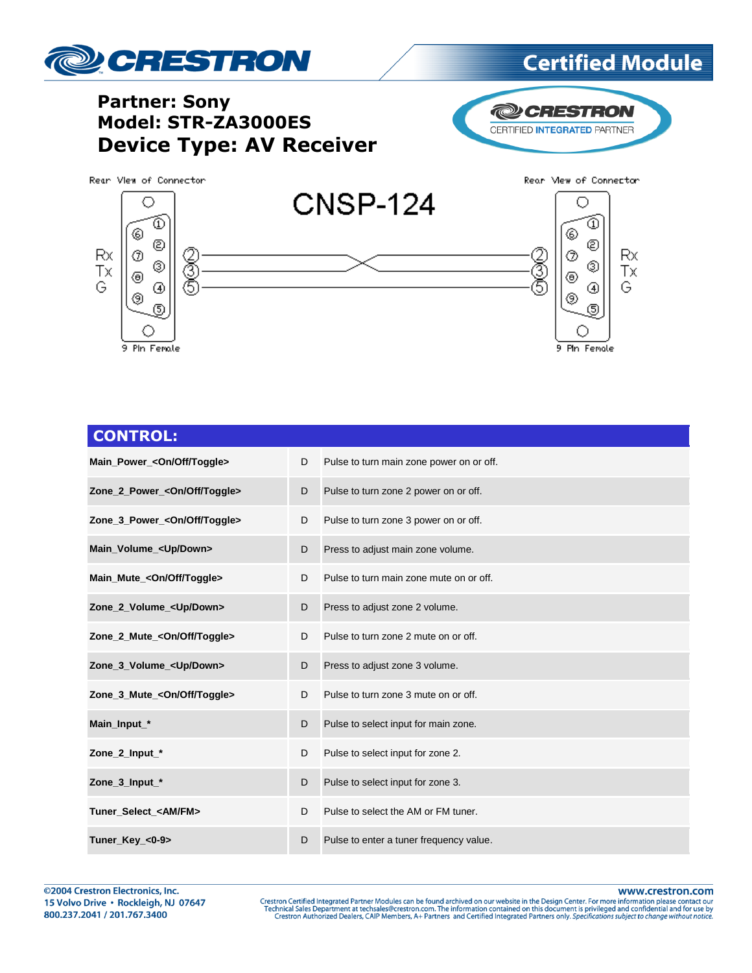

### **Partner: Sony** Model: STR-ZA3000ES **Device Type: AV Receiver**



Rean View of Connector



| <b>CONTROL:</b>                          |   |                                          |
|------------------------------------------|---|------------------------------------------|
| Main_Power_ <on off="" toggle=""></on>   | D | Pulse to turn main zone power on or off. |
| Zone_2_Power_ <on off="" toggle=""></on> | D | Pulse to turn zone 2 power on or off.    |
| Zone_3_Power_ <on off="" toggle=""></on> | D | Pulse to turn zone 3 power on or off.    |
| Main_Volume_ <up down=""></up>           | D | Press to adjust main zone volume.        |
| Main_Mute_ <on off="" toggle=""></on>    | D | Pulse to turn main zone mute on or off.  |
| Zone_2_Volume_ <up down=""></up>         | D | Press to adjust zone 2 volume.           |
| Zone 2 Mute_<0n/Off/Toggle>              | D | Pulse to turn zone 2 mute on or off.     |
| Zone_3_Volume_ <up down=""></up>         | D | Press to adjust zone 3 volume.           |
| Zone_3_Mute_ <on off="" toggle=""></on>  | D | Pulse to turn zone 3 mute on or off.     |
| Main_Input_*                             | D | Pulse to select input for main zone.     |
| Zone_2_Input_*                           | D | Pulse to select input for zone 2.        |
| Zone_3_Input_*                           | D | Pulse to select input for zone 3.        |
| Tuner_Select_ <am fm=""></am>            | D | Pulse to select the AM or FM tuner.      |
| Tuner_Key_<0-9>                          | D | Pulse to enter a tuner frequency value.  |

www.crestron.com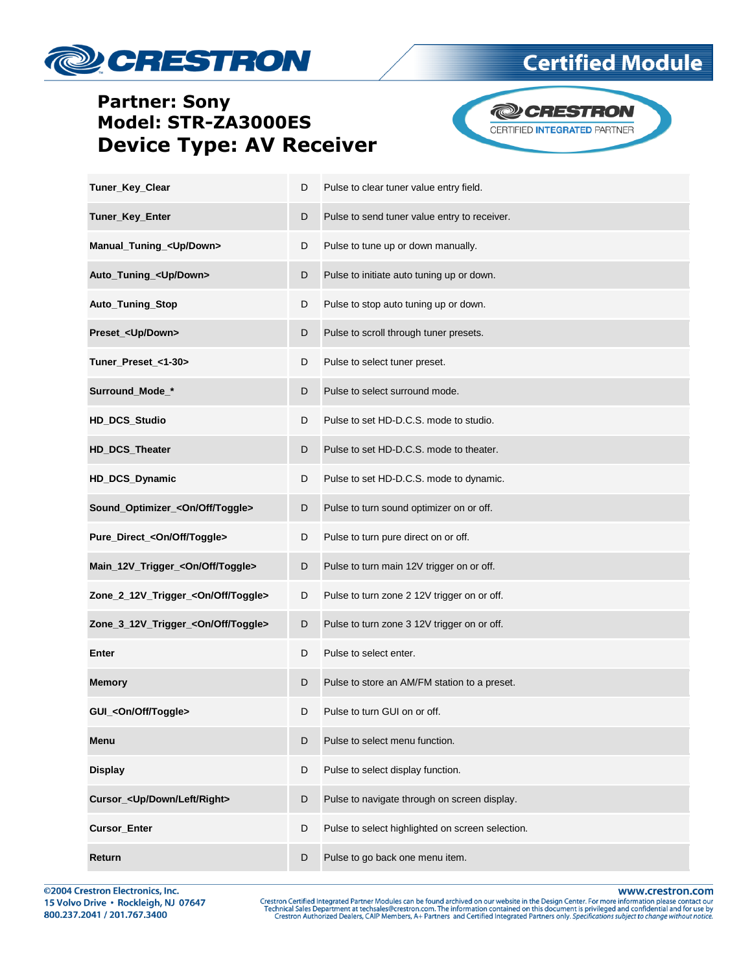## **De CRESTRON**

#### **Partner: Sony** Model: STR-ZA3000ES **Device Type: AV Receiver**

**@CRESTRON** CERTIFIED INTEGRATED PARTNER

**Certified Module** 

| Tuner_Key_Clear                                | D | Pulse to clear tuner value entry field.          |
|------------------------------------------------|---|--------------------------------------------------|
| Tuner_Key_Enter                                | D | Pulse to send tuner value entry to receiver.     |
| Manual_Tuning_ <up down=""></up>               | D | Pulse to tune up or down manually.               |
| Auto_Tuning_ <up down=""></up>                 | D | Pulse to initiate auto tuning up or down.        |
| Auto_Tuning_Stop                               | D | Pulse to stop auto tuning up or down.            |
| Preset_ <up down=""></up>                      | D | Pulse to scroll through tuner presets.           |
| Tuner_Preset_<1-30>                            | D | Pulse to select tuner preset.                    |
| Surround_Mode_*                                | D | Pulse to select surround mode.                   |
| HD_DCS_Studio                                  | D | Pulse to set HD-D.C.S. mode to studio.           |
| HD_DCS_Theater                                 | D | Pulse to set HD-D.C.S. mode to theater.          |
| HD_DCS_Dynamic                                 | D | Pulse to set HD-D.C.S. mode to dynamic.          |
| Sound_Optimizer_ <on off="" toggle=""></on>    | D | Pulse to turn sound optimizer on or off.         |
| Pure_Direct_ <on off="" toggle=""></on>        | D | Pulse to turn pure direct on or off.             |
| Main_12V_Trigger_ <on off="" toggle=""></on>   | D | Pulse to turn main 12V trigger on or off.        |
| Zone_2_12V_Trigger_ <on off="" toggle=""></on> | D | Pulse to turn zone 2 12V trigger on or off.      |
| Zone_3_12V_Trigger_ <on off="" toggle=""></on> | D | Pulse to turn zone 3 12V trigger on or off.      |
| Enter                                          | D | Pulse to select enter.                           |
| <b>Memory</b>                                  | D | Pulse to store an AM/FM station to a preset.     |
| GUI_ <on off="" toggle=""></on>                | D | Pulse to turn GUI on or off.                     |
| Menu                                           | D | Pulse to select menu function.                   |
| <b>Display</b>                                 | D | Pulse to select display function.                |
| Cursor_ <up down="" left="" right=""></up>     | D | Pulse to navigate through on screen display.     |
| <b>Cursor_Enter</b>                            | D | Pulse to select highlighted on screen selection. |
| Return                                         | D | Pulse to go back one menu item.                  |

@2004 Crestron Electronics, Inc. 15 Volvo Drive · Rockleigh, NJ 07647 800.237.2041 / 201.767.3400

www.crestron.com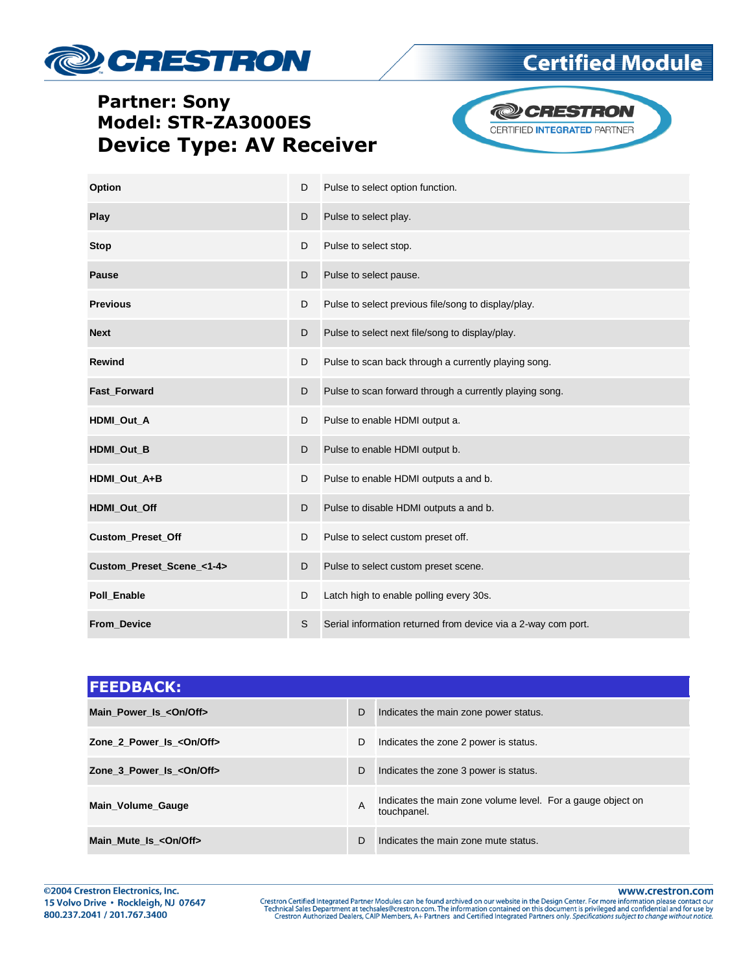# **De CRESTRON**

## **Certified Module**

### **Partner: Sony** Model: STR-ZA3000ES **Device Type: AV Receiver**



| Option                    | D | Pulse to select option function.                              |  |  |
|---------------------------|---|---------------------------------------------------------------|--|--|
| Play                      | D | Pulse to select play.                                         |  |  |
| <b>Stop</b>               | D | Pulse to select stop.                                         |  |  |
| <b>Pause</b>              | D | Pulse to select pause.                                        |  |  |
| <b>Previous</b>           | D | Pulse to select previous file/song to display/play.           |  |  |
| <b>Next</b>               | D | Pulse to select next file/song to display/play.               |  |  |
| <b>Rewind</b>             | D | Pulse to scan back through a currently playing song.          |  |  |
| <b>Fast Forward</b>       | D | Pulse to scan forward through a currently playing song.       |  |  |
| HDMI_Out_A                | D | Pulse to enable HDMI output a.                                |  |  |
| HDMI_Out_B                | D | Pulse to enable HDMI output b.                                |  |  |
| HDMI Out A+B              | D | Pulse to enable HDMI outputs a and b.                         |  |  |
| HDMI_Out_Off              | D | Pulse to disable HDMI outputs a and b.                        |  |  |
| <b>Custom_Preset_Off</b>  | D | Pulse to select custom preset off.                            |  |  |
| Custom_Preset_Scene_<1-4> | D | Pulse to select custom preset scene.                          |  |  |
| Poll_Enable               | D | Latch high to enable polling every 30s.                       |  |  |
| <b>From Device</b>        | S | Serial information returned from device via a 2-way com port. |  |  |

| <b>FEEDBACK:</b>               |   |                                                                            |
|--------------------------------|---|----------------------------------------------------------------------------|
| Main Power Is < On/Off>        | D | Indicates the main zone power status.                                      |
| Zone 2 Power Is < On/Off>      | D | Indicates the zone 2 power is status.                                      |
| Zone 3 Power Is < On/Off>      | D | Indicates the zone 3 power is status.                                      |
| Main_Volume_Gauge              | A | Indicates the main zone volume level. For a gauge object on<br>touchpanel. |
| Main_Mute_Is_ <on off=""></on> | D | Indicates the main zone mute status.                                       |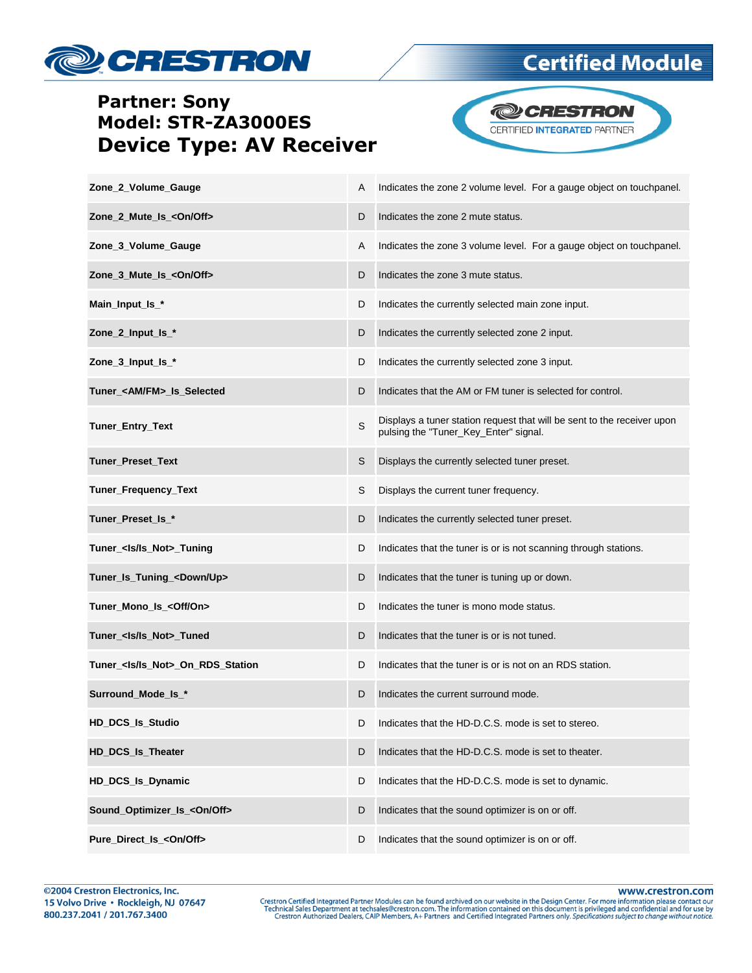

### **Partner: Sony Model: STR-ZA3000ES Device Type: AV Receiver**



| Zone_2_Volume_Gauge                       | A | Indicates the zone 2 volume level. For a gauge object on touchpanel.                                             |
|-------------------------------------------|---|------------------------------------------------------------------------------------------------------------------|
| Zone_2_Mute_Is_ <on off=""></on>          | D | Indicates the zone 2 mute status.                                                                                |
| Zone_3_Volume_Gauge                       | A | Indicates the zone 3 volume level. For a gauge object on touch panel.                                            |
| Zone_3_Mute_Is_ <on off=""></on>          | D | Indicates the zone 3 mute status.                                                                                |
| Main_Input_Is_*                           | D | Indicates the currently selected main zone input.                                                                |
| Zone_2_Input_Is_*                         | D | Indicates the currently selected zone 2 input.                                                                   |
| Zone_3_Input_Is_*                         | D | Indicates the currently selected zone 3 input.                                                                   |
| Tuner_ <am fm="">_Is_Selected</am>        | D | Indicates that the AM or FM tuner is selected for control.                                                       |
| Tuner_Entry_Text                          | S | Displays a tuner station request that will be sent to the receiver upon<br>pulsing the "Tuner_Key_Enter" signal. |
| <b>Tuner Preset Text</b>                  | S | Displays the currently selected tuner preset.                                                                    |
| Tuner_Frequency_Text                      | S | Displays the current tuner frequency.                                                                            |
| Tuner_Preset_Is_*                         | D | Indicates the currently selected tuner preset.                                                                   |
| Tuner_ <ls ls_not="">_Tuning</ls>         | D | Indicates that the tuner is or is not scanning through stations.                                                 |
| Tuner_Is_Tuning_ <down up=""></down>      | D | Indicates that the tuner is tuning up or down.                                                                   |
| Tuner_Mono_Is_ <off on=""></off>          | D | Indicates the tuner is mono mode status.                                                                         |
| Tuner_ <ls ls_not="">_Tuned</ls>          | D | Indicates that the tuner is or is not tuned.                                                                     |
| Tuner_ <ls ls_not="">_On_RDS_Station</ls> | D | Indicates that the tuner is or is not on an RDS station.                                                         |
| Surround_Mode_Is_*                        | D | Indicates the current surround mode.                                                                             |
| HD_DCS_Is_Studio                          | D | Indicates that the HD-D.C.S. mode is set to stereo.                                                              |
| <b>HD_DCS_Is_Theater</b>                  | D | Indicates that the HD-D.C.S. mode is set to theater.                                                             |
| HD_DCS_Is_Dynamic                         | D | Indicates that the HD-D.C.S. mode is set to dynamic.                                                             |
| Sound_Optimizer_Is_ <on off=""></on>      | D | Indicates that the sound optimizer is on or off.                                                                 |
| Pure_Direct_Is_ <on off=""></on>          | D | Indicates that the sound optimizer is on or off.                                                                 |